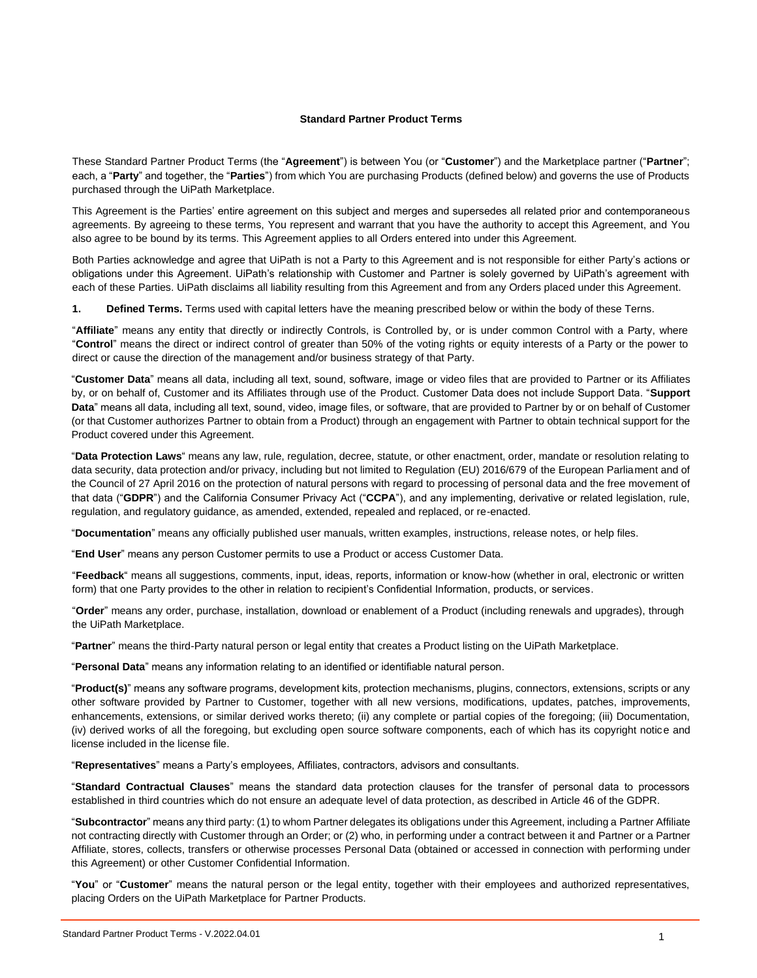#### **Standard Partner Product Terms**

These Standard Partner Product Terms (the "**Agreement**") is between You (or "**Customer**") and the Marketplace partner ("**Partner**"; each, a "**Party**" and together, the "**Parties**") from which You are purchasing Products (defined below) and governs the use of Products purchased through the UiPath Marketplace.

This Agreement is the Parties' entire agreement on this subject and merges and supersedes all related prior and contemporaneous agreements. By agreeing to these terms, You represent and warrant that you have the authority to accept this Agreement, and You also agree to be bound by its terms. This Agreement applies to all Orders entered into under this Agreement.

Both Parties acknowledge and agree that UiPath is not a Party to this Agreement and is not responsible for either Party's actions or obligations under this Agreement. UiPath's relationship with Customer and Partner is solely governed by UiPath's agreement with each of these Parties. UiPath disclaims all liability resulting from this Agreement and from any Orders placed under this Agreement.

**1. Defined Terms.** Terms used with capital letters have the meaning prescribed below or within the body of these Terns.

"**Affiliate**" means any entity that directly or indirectly Controls, is Controlled by, or is under common Control with a Party, where "**Control**" means the direct or indirect control of greater than 50% of the voting rights or equity interests of a Party or the power to direct or cause the direction of the management and/or business strategy of that Party.

"**Customer Data**" means all data, including all text, sound, software, image or video files that are provided to Partner or its Affiliates by, or on behalf of, Customer and its Affiliates through use of the Product. Customer Data does not include Support Data. "**Support Data**" means all data, including all text, sound, video, image files, or software, that are provided to Partner by or on behalf of Customer (or that Customer authorizes Partner to obtain from a Product) through an engagement with Partner to obtain technical support for the Product covered under this Agreement.

"**Data Protection Laws**" means any law, rule, regulation, decree, statute, or other enactment, order, mandate or resolution relating to data security, data protection and/or privacy, including but not limited to Regulation (EU) 2016/679 of the European Parliament and of the Council of 27 April 2016 on the protection of natural persons with regard to processing of personal data and the free movement of that data ("**GDPR**") and the California Consumer Privacy Act ("**CCPA**"), and any implementing, derivative or related legislation, rule, regulation, and regulatory guidance, as amended, extended, repealed and replaced, or re-enacted.

"**Documentation**" means any officially published user manuals, written examples, instructions, release notes, or help files.

"**End User**" means any person Customer permits to use a Product or access Customer Data.

"**Feedback**" means all suggestions, comments, input, ideas, reports, information or know-how (whether in oral, electronic or written form) that one Party provides to the other in relation to recipient's Confidential Information, products, or services.

"**Order**" means any order, purchase, installation, download or enablement of a Product (including renewals and upgrades), through the UiPath Marketplace.

"**Partner**" means the third-Party natural person or legal entity that creates a Product listing on the UiPath Marketplace.

"**Personal Data**" means any information relating to an identified or identifiable natural person.

"**Product(s)**" means any software programs, development kits, protection mechanisms, plugins, connectors, extensions, scripts or any other software provided by Partner to Customer, together with all new versions, modifications, updates, patches, improvements, enhancements, extensions, or similar derived works thereto; (ii) any complete or partial copies of the foregoing; (iii) Documentation, (iv) derived works of all the foregoing, but excluding open source software components, each of which has its copyright notice and license included in the license file.

"**Representatives**" means a Party's employees, Affiliates, contractors, advisors and consultants.

"**Standard Contractual Clauses**" means the standard data protection clauses for the transfer of personal data to processors established in third countries which do not ensure an adequate level of data protection, as described in Article 46 of the GDPR.

"**Subcontractor**" means any third party: (1) to whom Partner delegates its obligations under this Agreement, including a Partner Affiliate not contracting directly with Customer through an Order; or (2) who, in performing under a contract between it and Partner or a Partner Affiliate, stores, collects, transfers or otherwise processes Personal Data (obtained or accessed in connection with performing under this Agreement) or other Customer Confidential Information.

"**You**" or "**Customer**" means the natural person or the legal entity, together with their employees and authorized representatives, placing Orders on the UiPath Marketplace for Partner Products.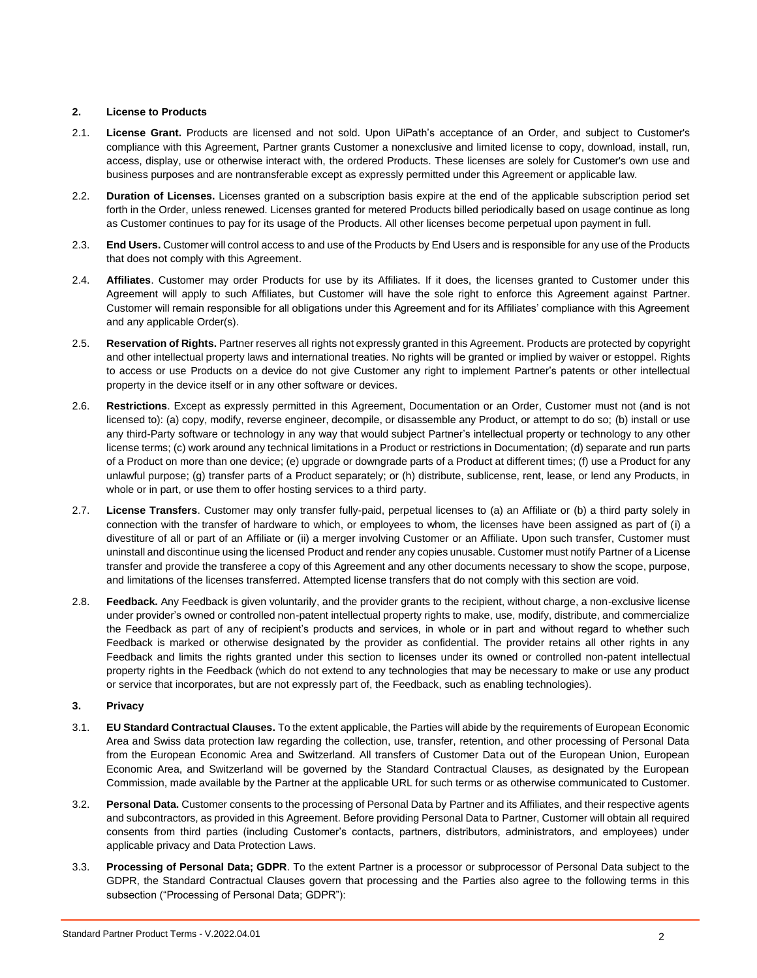#### **2. License to Products**

- 2.1. **License Grant.** Products are licensed and not sold. Upon UiPath's acceptance of an Order, and subject to Customer's compliance with this Agreement, Partner grants Customer a nonexclusive and limited license to copy, download, install, run, access, display, use or otherwise interact with, the ordered Products. These licenses are solely for Customer's own use and business purposes and are nontransferable except as expressly permitted under this Agreement or applicable law.
- 2.2. **Duration of Licenses.** Licenses granted on a subscription basis expire at the end of the applicable subscription period set forth in the Order, unless renewed. Licenses granted for metered Products billed periodically based on usage continue as long as Customer continues to pay for its usage of the Products. All other licenses become perpetual upon payment in full.
- 2.3. **End Users.** Customer will control access to and use of the Products by End Users and is responsible for any use of the Products that does not comply with this Agreement.
- 2.4. **Affiliates**. Customer may order Products for use by its Affiliates. If it does, the licenses granted to Customer under this Agreement will apply to such Affiliates, but Customer will have the sole right to enforce this Agreement against Partner. Customer will remain responsible for all obligations under this Agreement and for its Affiliates' compliance with this Agreement and any applicable Order(s).
- 2.5. **Reservation of Rights.** Partner reserves all rights not expressly granted in this Agreement. Products are protected by copyright and other intellectual property laws and international treaties. No rights will be granted or implied by waiver or estoppel. Rights to access or use Products on a device do not give Customer any right to implement Partner's patents or other intellectual property in the device itself or in any other software or devices.
- 2.6. **Restrictions**. Except as expressly permitted in this Agreement, Documentation or an Order, Customer must not (and is not licensed to): (a) copy, modify, reverse engineer, decompile, or disassemble any Product, or attempt to do so; (b) install or use any third-Party software or technology in any way that would subject Partner's intellectual property or technology to any other license terms; (c) work around any technical limitations in a Product or restrictions in Documentation; (d) separate and run parts of a Product on more than one device; (e) upgrade or downgrade parts of a Product at different times; (f) use a Product for any unlawful purpose; (g) transfer parts of a Product separately; or (h) distribute, sublicense, rent, lease, or lend any Products, in whole or in part, or use them to offer hosting services to a third party.
- 2.7. **License Transfers**. Customer may only transfer fully-paid, perpetual licenses to (a) an Affiliate or (b) a third party solely in connection with the transfer of hardware to which, or employees to whom, the licenses have been assigned as part of (i) a divestiture of all or part of an Affiliate or (ii) a merger involving Customer or an Affiliate. Upon such transfer, Customer must uninstall and discontinue using the licensed Product and render any copies unusable. Customer must notify Partner of a License transfer and provide the transferee a copy of this Agreement and any other documents necessary to show the scope, purpose, and limitations of the licenses transferred. Attempted license transfers that do not comply with this section are void.
- 2.8. **Feedback.** Any Feedback is given voluntarily, and the provider grants to the recipient, without charge, a non-exclusive license under provider's owned or controlled non-patent intellectual property rights to make, use, modify, distribute, and commercialize the Feedback as part of any of recipient's products and services, in whole or in part and without regard to whether such Feedback is marked or otherwise designated by the provider as confidential. The provider retains all other rights in any Feedback and limits the rights granted under this section to licenses under its owned or controlled non-patent intellectual property rights in the Feedback (which do not extend to any technologies that may be necessary to make or use any product or service that incorporates, but are not expressly part of, the Feedback, such as enabling technologies).

#### **3. Privacy**

- 3.1. **EU Standard Contractual Clauses.** To the extent applicable, the Parties will abide by the requirements of European Economic Area and Swiss data protection law regarding the collection, use, transfer, retention, and other processing of Personal Data from the European Economic Area and Switzerland. All transfers of Customer Data out of the European Union, European Economic Area, and Switzerland will be governed by the Standard Contractual Clauses, as designated by the European Commission, made available by the Partner at the applicable URL for such terms or as otherwise communicated to Customer.
- 3.2. **Personal Data.** Customer consents to the processing of Personal Data by Partner and its Affiliates, and their respective agents and subcontractors, as provided in this Agreement. Before providing Personal Data to Partner, Customer will obtain all required consents from third parties (including Customer's contacts, partners, distributors, administrators, and employees) under applicable privacy and Data Protection Laws.
- 3.3. **Processing of Personal Data; GDPR**. To the extent Partner is a processor or subprocessor of Personal Data subject to the GDPR, the Standard Contractual Clauses govern that processing and the Parties also agree to the following terms in this subsection ("Processing of Personal Data; GDPR"):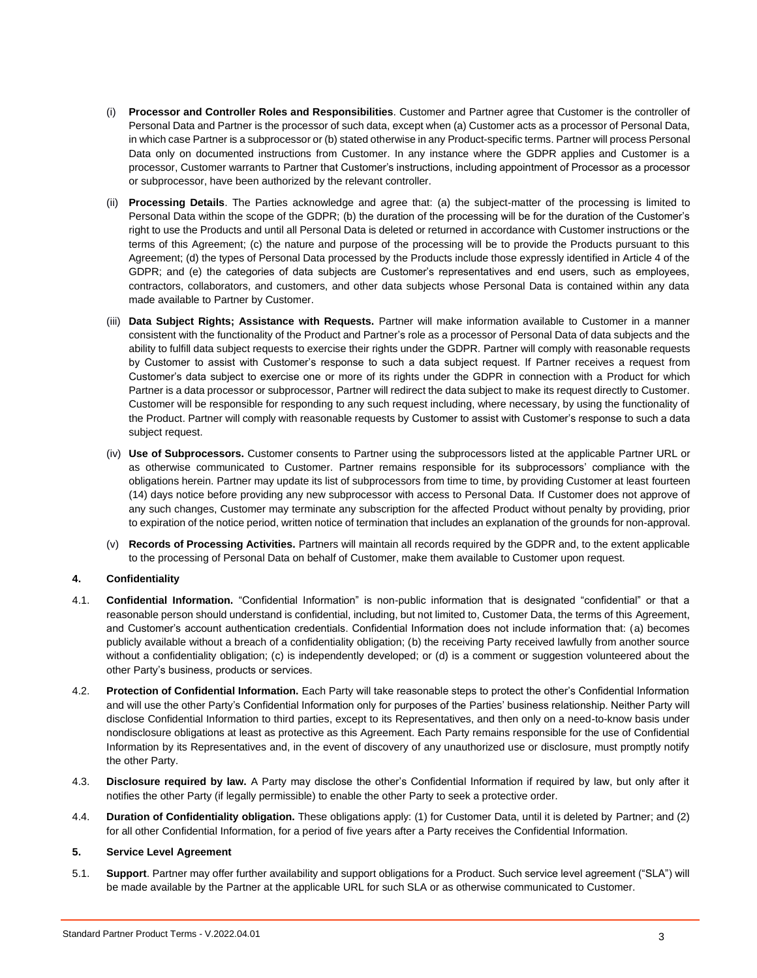- (i) **Processor and Controller Roles and Responsibilities**. Customer and Partner agree that Customer is the controller of Personal Data and Partner is the processor of such data, except when (a) Customer acts as a processor of Personal Data, in which case Partner is a subprocessor or (b) stated otherwise in any Product-specific terms. Partner will process Personal Data only on documented instructions from Customer. In any instance where the GDPR applies and Customer is a processor, Customer warrants to Partner that Customer's instructions, including appointment of Processor as a processor or subprocessor, have been authorized by the relevant controller.
- (ii) **Processing Details**. The Parties acknowledge and agree that: (a) the subject-matter of the processing is limited to Personal Data within the scope of the GDPR; (b) the duration of the processing will be for the duration of the Customer's right to use the Products and until all Personal Data is deleted or returned in accordance with Customer instructions or the terms of this Agreement; (c) the nature and purpose of the processing will be to provide the Products pursuant to this Agreement; (d) the types of Personal Data processed by the Products include those expressly identified in Article 4 of the GDPR; and (e) the categories of data subjects are Customer's representatives and end users, such as employees, contractors, collaborators, and customers, and other data subjects whose Personal Data is contained within any data made available to Partner by Customer.
- (iii) **Data Subject Rights; Assistance with Requests.** Partner will make information available to Customer in a manner consistent with the functionality of the Product and Partner's role as a processor of Personal Data of data subjects and the ability to fulfill data subject requests to exercise their rights under the GDPR. Partner will comply with reasonable requests by Customer to assist with Customer's response to such a data subject request. If Partner receives a request from Customer's data subject to exercise one or more of its rights under the GDPR in connection with a Product for which Partner is a data processor or subprocessor, Partner will redirect the data subject to make its request directly to Customer. Customer will be responsible for responding to any such request including, where necessary, by using the functionality of the Product. Partner will comply with reasonable requests by Customer to assist with Customer's response to such a data subject request.
- (iv) **Use of Subprocessors.** Customer consents to Partner using the subprocessors listed at the applicable Partner URL or as otherwise communicated to Customer. Partner remains responsible for its subprocessors' compliance with the obligations herein. Partner may update its list of subprocessors from time to time, by providing Customer at least fourteen (14) days notice before providing any new subprocessor with access to Personal Data. If Customer does not approve of any such changes, Customer may terminate any subscription for the affected Product without penalty by providing, prior to expiration of the notice period, written notice of termination that includes an explanation of the grounds for non-approval.
- (v) **Records of Processing Activities.** Partners will maintain all records required by the GDPR and, to the extent applicable to the processing of Personal Data on behalf of Customer, make them available to Customer upon request.

## **4. Confidentiality**

- 4.1. **Confidential Information.** "Confidential Information" is non-public information that is designated "confidential" or that a reasonable person should understand is confidential, including, but not limited to, Customer Data, the terms of this Agreement, and Customer's account authentication credentials. Confidential Information does not include information that: (a) becomes publicly available without a breach of a confidentiality obligation; (b) the receiving Party received lawfully from another source without a confidentiality obligation; (c) is independently developed; or (d) is a comment or suggestion volunteered about the other Party's business, products or services.
- 4.2. **Protection of Confidential Information.** Each Party will take reasonable steps to protect the other's Confidential Information and will use the other Party's Confidential Information only for purposes of the Parties' business relationship. Neither Party will disclose Confidential Information to third parties, except to its Representatives, and then only on a need-to-know basis under nondisclosure obligations at least as protective as this Agreement. Each Party remains responsible for the use of Confidential Information by its Representatives and, in the event of discovery of any unauthorized use or disclosure, must promptly notify the other Party.
- 4.3. **Disclosure required by law.** A Party may disclose the other's Confidential Information if required by law, but only after it notifies the other Party (if legally permissible) to enable the other Party to seek a protective order.
- 4.4. **Duration of Confidentiality obligation.** These obligations apply: (1) for Customer Data, until it is deleted by Partner; and (2) for all other Confidential Information, for a period of five years after a Party receives the Confidential Information.

## **5. Service Level Agreement**

5.1. **Support**. Partner may offer further availability and support obligations for a Product. Such service level agreement ("SLA") will be made available by the Partner at the applicable URL for such SLA or as otherwise communicated to Customer.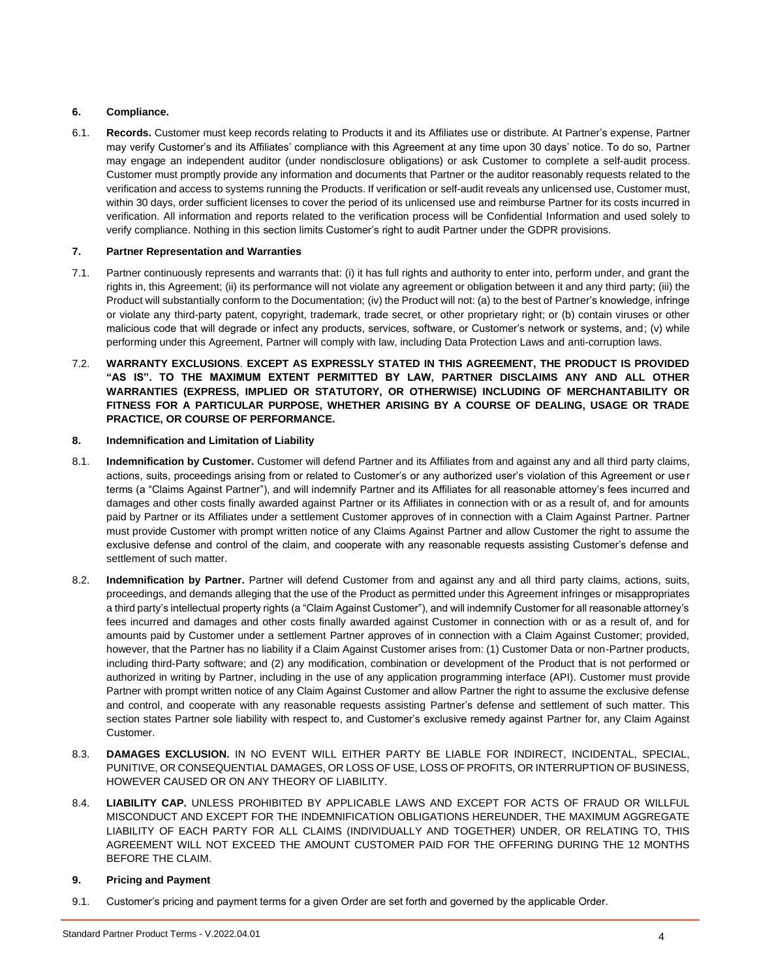# **6. Compliance.**

6.1. **Records.** Customer must keep records relating to Products it and its Affiliates use or distribute. At Partner's expense, Partner may verify Customer's and its Affiliates' compliance with this Agreement at any time upon 30 days' notice. To do so, Partner may engage an independent auditor (under nondisclosure obligations) or ask Customer to complete a self-audit process. Customer must promptly provide any information and documents that Partner or the auditor reasonably requests related to the verification and access to systems running the Products. If verification or self-audit reveals any unlicensed use, Customer must, within 30 days, order sufficient licenses to cover the period of its unlicensed use and reimburse Partner for its costs incurred in verification. All information and reports related to the verification process will be Confidential Information and used solely to verify compliance. Nothing in this section limits Customer's right to audit Partner under the GDPR provisions.

## **7. Partner Representation and Warranties**

- 7.1. Partner continuously represents and warrants that: (i) it has full rights and authority to enter into, perform under, and grant the rights in, this Agreement; (ii) its performance will not violate any agreement or obligation between it and any third party; (iii) the Product will substantially conform to the Documentation; (iv) the Product will not: (a) to the best of Partner's knowledge, infringe or violate any third-party patent, copyright, trademark, trade secret, or other proprietary right; or (b) contain viruses or other malicious code that will degrade or infect any products, services, software, or Customer's network or systems, and; (v) while performing under this Agreement, Partner will comply with law, including Data Protection Laws and anti-corruption laws.
- 7.2. **WARRANTY EXCLUSIONS**. **EXCEPT AS EXPRESSLY STATED IN THIS AGREEMENT, THE PRODUCT IS PROVIDED "AS IS". TO THE MAXIMUM EXTENT PERMITTED BY LAW, PARTNER DISCLAIMS ANY AND ALL OTHER WARRANTIES (EXPRESS, IMPLIED OR STATUTORY, OR OTHERWISE) INCLUDING OF MERCHANTABILITY OR FITNESS FOR A PARTICULAR PURPOSE, WHETHER ARISING BY A COURSE OF DEALING, USAGE OR TRADE PRACTICE, OR COURSE OF PERFORMANCE.**

## **8. Indemnification and Limitation of Liability**

- 8.1. **Indemnification by Customer.** Customer will defend Partner and its Affiliates from and against any and all third party claims, actions, suits, proceedings arising from or related to Customer's or any authorized user's violation of this Agreement or user terms (a "Claims Against Partner"), and will indemnify Partner and its Affiliates for all reasonable attorney's fees incurred and damages and other costs finally awarded against Partner or its Affiliates in connection with or as a result of, and for amounts paid by Partner or its Affiliates under a settlement Customer approves of in connection with a Claim Against Partner. Partner must provide Customer with prompt written notice of any Claims Against Partner and allow Customer the right to assume the exclusive defense and control of the claim, and cooperate with any reasonable requests assisting Customer's defense and settlement of such matter.
- 8.2. **Indemnification by Partner.** Partner will defend Customer from and against any and all third party claims, actions, suits, proceedings, and demands alleging that the use of the Product as permitted under this Agreement infringes or misappropriates a third party's intellectual property rights (a "Claim Against Customer"), and will indemnify Customer for all reasonable attorney's fees incurred and damages and other costs finally awarded against Customer in connection with or as a result of, and for amounts paid by Customer under a settlement Partner approves of in connection with a Claim Against Customer; provided, however, that the Partner has no liability if a Claim Against Customer arises from: (1) Customer Data or non-Partner products, including third-Party software; and (2) any modification, combination or development of the Product that is not performed or authorized in writing by Partner, including in the use of any application programming interface (API). Customer must provide Partner with prompt written notice of any Claim Against Customer and allow Partner the right to assume the exclusive defense and control, and cooperate with any reasonable requests assisting Partner's defense and settlement of such matter. This section states Partner sole liability with respect to, and Customer's exclusive remedy against Partner for, any Claim Against Customer.
- 8.3. **DAMAGES EXCLUSION.** IN NO EVENT WILL EITHER PARTY BE LIABLE FOR INDIRECT, INCIDENTAL, SPECIAL, PUNITIVE, OR CONSEQUENTIAL DAMAGES, OR LOSS OF USE, LOSS OF PROFITS, OR INTERRUPTION OF BUSINESS, HOWEVER CAUSED OR ON ANY THEORY OF LIABILITY.
- 8.4. **LIABILITY CAP.** UNLESS PROHIBITED BY APPLICABLE LAWS AND EXCEPT FOR ACTS OF FRAUD OR WILLFUL MISCONDUCT AND EXCEPT FOR THE INDEMNIFICATION OBLIGATIONS HEREUNDER, THE MAXIMUM AGGREGATE LIABILITY OF EACH PARTY FOR ALL CLAIMS (INDIVIDUALLY AND TOGETHER) UNDER, OR RELATING TO, THIS AGREEMENT WILL NOT EXCEED THE AMOUNT CUSTOMER PAID FOR THE OFFERING DURING THE 12 MONTHS BEFORE THE CLAIM.

## **9. Pricing and Payment**

9.1. Customer's pricing and payment terms for a given Order are set forth and governed by the applicable Order.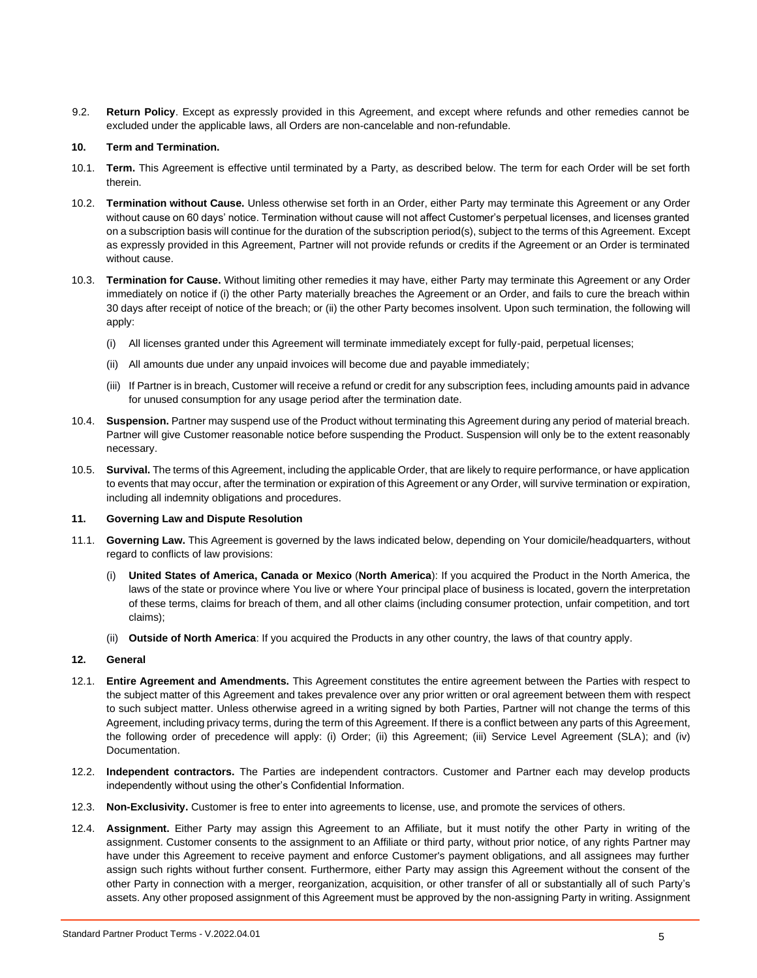9.2. **Return Policy**. Except as expressly provided in this Agreement, and except where refunds and other remedies cannot be excluded under the applicable laws, all Orders are non-cancelable and non-refundable.

#### **10. Term and Termination.**

- 10.1. **Term.** This Agreement is effective until terminated by a Party, as described below. The term for each Order will be set forth therein.
- 10.2. **Termination without Cause.** Unless otherwise set forth in an Order, either Party may terminate this Agreement or any Order without cause on 60 days' notice. Termination without cause will not affect Customer's perpetual licenses, and licenses granted on a subscription basis will continue for the duration of the subscription period(s), subject to the terms of this Agreement. Except as expressly provided in this Agreement, Partner will not provide refunds or credits if the Agreement or an Order is terminated without cause.
- 10.3. **Termination for Cause.** Without limiting other remedies it may have, either Party may terminate this Agreement or any Order immediately on notice if (i) the other Party materially breaches the Agreement or an Order, and fails to cure the breach within 30 days after receipt of notice of the breach; or (ii) the other Party becomes insolvent. Upon such termination, the following will apply:
	- (i) All licenses granted under this Agreement will terminate immediately except for fully-paid, perpetual licenses;
	- (ii) All amounts due under any unpaid invoices will become due and payable immediately;
	- (iii) If Partner is in breach, Customer will receive a refund or credit for any subscription fees, including amounts paid in advance for unused consumption for any usage period after the termination date.
- 10.4. **Suspension.** Partner may suspend use of the Product without terminating this Agreement during any period of material breach. Partner will give Customer reasonable notice before suspending the Product. Suspension will only be to the extent reasonably necessary.
- 10.5. **Survival.** The terms of this Agreement, including the applicable Order, that are likely to require performance, or have application to events that may occur, after the termination or expiration of this Agreement or any Order, will survive termination or expiration, including all indemnity obligations and procedures.

#### **11. Governing Law and Dispute Resolution**

- 11.1. **Governing Law.** This Agreement is governed by the laws indicated below, depending on Your domicile/headquarters, without regard to conflicts of law provisions:
	- (i) **United States of America, Canada or Mexico** (**North America**): If you acquired the Product in the North America, the laws of the state or province where You live or where Your principal place of business is located, govern the interpretation of these terms, claims for breach of them, and all other claims (including consumer protection, unfair competition, and tort claims);
	- (ii) **Outside of North America**: If you acquired the Products in any other country, the laws of that country apply.

## **12. General**

- 12.1. **Entire Agreement and Amendments.** This Agreement constitutes the entire agreement between the Parties with respect to the subject matter of this Agreement and takes prevalence over any prior written or oral agreement between them with respect to such subject matter. Unless otherwise agreed in a writing signed by both Parties, Partner will not change the terms of this Agreement, including privacy terms, during the term of this Agreement. If there is a conflict between any parts of this Agreement, the following order of precedence will apply: (i) Order; (ii) this Agreement; (iii) Service Level Agreement (SLA); and (iv) Documentation.
- 12.2. **Independent contractors.** The Parties are independent contractors. Customer and Partner each may develop products independently without using the other's Confidential Information.
- 12.3. **Non-Exclusivity.** Customer is free to enter into agreements to license, use, and promote the services of others.
- 12.4. **Assignment.** Either Party may assign this Agreement to an Affiliate, but it must notify the other Party in writing of the assignment. Customer consents to the assignment to an Affiliate or third party, without prior notice, of any rights Partner may have under this Agreement to receive payment and enforce Customer's payment obligations, and all assignees may further assign such rights without further consent. Furthermore, either Party may assign this Agreement without the consent of the other Party in connection with a merger, reorganization, acquisition, or other transfer of all or substantially all of such Party's assets. Any other proposed assignment of this Agreement must be approved by the non-assigning Party in writing. Assignment